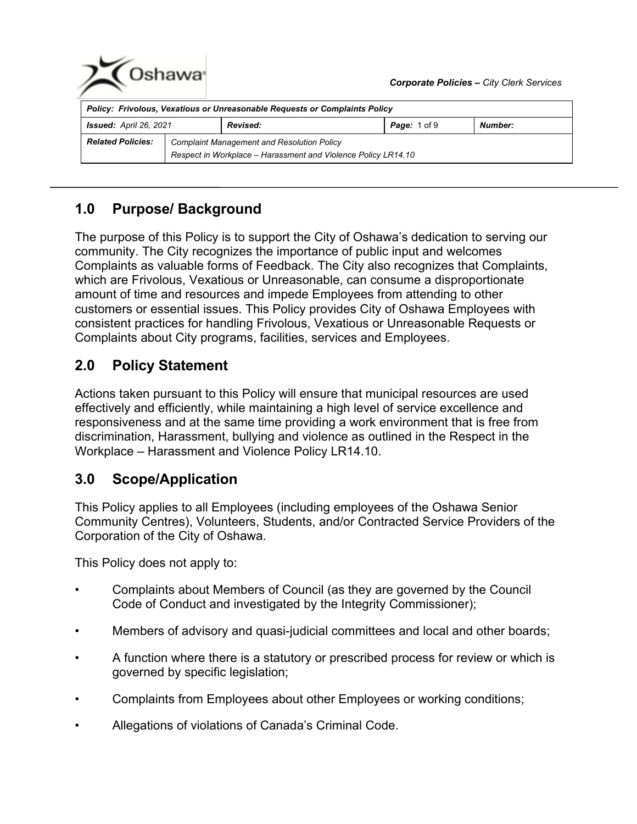| $\sum$ Oshawa                 |                                                                                                             |                                                                            |                     | <b>Corporate Policies - City Clerk Services</b> |
|-------------------------------|-------------------------------------------------------------------------------------------------------------|----------------------------------------------------------------------------|---------------------|-------------------------------------------------|
|                               |                                                                                                             | Policy: Frivolous, Vexatious or Unreasonable Requests or Complaints Policy |                     |                                                 |
| <b>Issued:</b> April 26, 2021 |                                                                                                             | Revised:                                                                   | <b>Page:</b> 1 of 9 | <b>Number:</b>                                  |
| <b>Related Policies:</b>      | Complaint Management and Resolution Policy<br>Respect in Workplace - Harassment and Violence Policy LR14.10 |                                                                            |                     |                                                 |

# **1.0 Purpose/ Background**

The purpose of this Policy is to support the City of Oshawa's dedication to serving our community. The City recognizes the importance of public input and welcomes Complaints as valuable forms of Feedback. The City also recognizes that Complaints, which are Frivolous, Vexatious or Unreasonable, can consume a disproportionate amount of time and resources and impede Employees from attending to other customers or essential issues. This Policy provides City of Oshawa Employees with consistent practices for handling Frivolous, Vexatious or Unreasonable Requests or Complaints about City programs, facilities, services and Employees.

# **2.0 Policy Statement**

Actions taken pursuant to this Policy will ensure that municipal resources are used effectively and efficiently, while maintaining a high level of service excellence and responsiveness and at the same time providing a work environment that is free from discrimination, Harassment, bullying and violence as outlined in the Respect in the Workplace – Harassment and Violence Policy LR14.10.

## **3.0 Scope/Application**

This Policy applies to all Employees (including employees of the Oshawa Senior Community Centres), Volunteers, Students, and/or Contracted Service Providers of the Corporation of the City of Oshawa.

This Policy does not apply to:

- Complaints about Members of Council (as they are governed by the Council Code of Conduct and investigated by the Integrity Commissioner);
- Members of advisory and quasi-judicial committees and local and other boards;
- A function where there is a statutory or prescribed process for review or which is governed by specific legislation;
- Complaints from Employees about other Employees or working conditions;
- Allegations of violations of Canada's Criminal Code.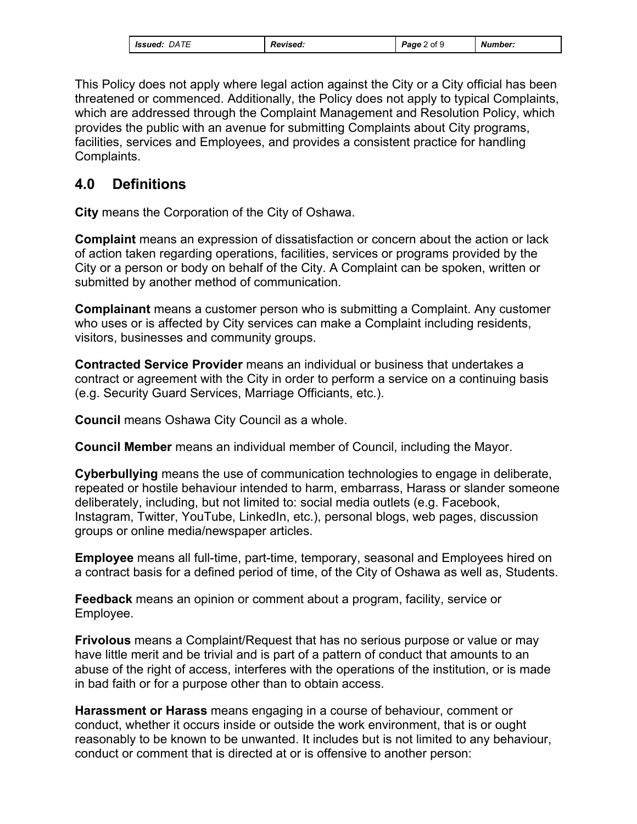| DATE<br>Issued: | Revised: | <b>Page</b> 2 of 9 | Number: |
|-----------------|----------|--------------------|---------|
|-----------------|----------|--------------------|---------|

This Policy does not apply where legal action against the City or a City official has been threatened or commenced. Additionally, the Policy does not apply to typical Complaints, which are addressed through the Complaint Management and Resolution Policy, which provides the public with an avenue for submitting Complaints about City programs, facilities, services and Employees, and provides a consistent practice for handling Complaints.

## **4.0 Definitions**

**City** means the Corporation of the City of Oshawa.

**Complaint** means an expression of dissatisfaction or concern about the action or lack of action taken regarding operations, facilities, services or programs provided by the City or a person or body on behalf of the City. A Complaint can be spoken, written or submitted by another method of communication.

**Complainant** means a customer person who is submitting a Complaint. Any customer who uses or is affected by City services can make a Complaint including residents, visitors, businesses and community groups.

**Contracted Service Provider** means an individual or business that undertakes a contract or agreement with the City in order to perform a service on a continuing basis (e.g. Security Guard Services, Marriage Officiants, etc.).

**Council** means Oshawa City Council as a whole.

**Council Member** means an individual member of Council, including the Mayor.

**Cyberbullying** means the use of communication technologies to engage in deliberate, repeated or hostile behaviour intended to harm, embarrass, Harass or slander someone deliberately, including, but not limited to: social media outlets (e.g. Facebook, Instagram, Twitter, YouTube, LinkedIn, etc.), personal blogs, web pages, discussion groups or online media/newspaper articles.

**Employee** means all full-time, part-time, temporary, seasonal and Employees hired on a contract basis for a defined period of time, of the City of Oshawa as well as, Students.

**Feedback** means an opinion or comment about a program, facility, service or Employee.

**Frivolous** means a Complaint/Request that has no serious purpose or value or may have little merit and be trivial and is part of a pattern of conduct that amounts to an abuse of the right of access, interferes with the operations of the institution, or is made in bad faith or for a purpose other than to obtain access.

**Harassment or Harass** means engaging in a course of behaviour, comment or conduct, whether it occurs inside or outside the work environment, that is or ought reasonably to be known to be unwanted. It includes but is not limited to any behaviour, conduct or comment that is directed at or is offensive to another person: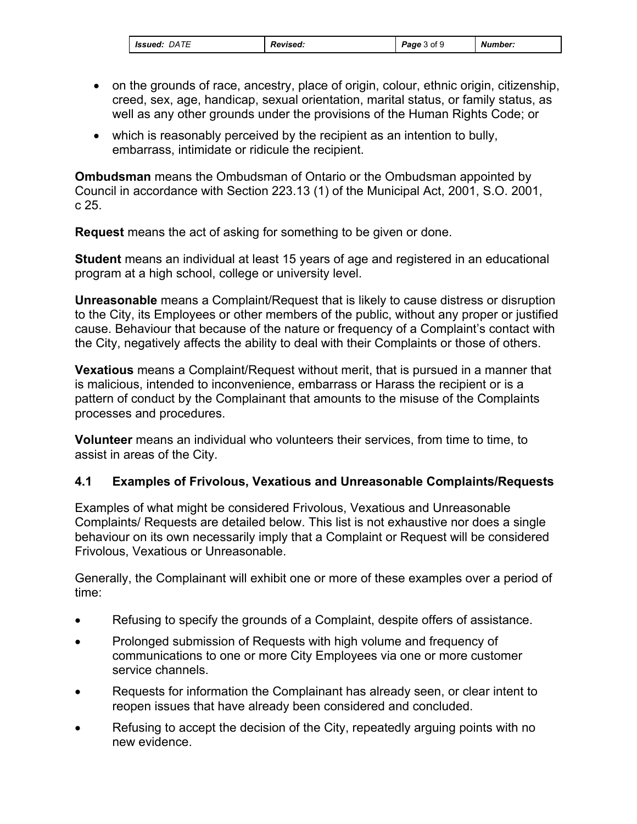| <b>Issued: DATE</b> | <b>Revised:</b> | <b>Page</b> $3$ of $9$ | Number: |
|---------------------|-----------------|------------------------|---------|
|---------------------|-----------------|------------------------|---------|

- on the grounds of race, ancestry, place of origin, colour, ethnic origin, citizenship, creed, sex, age, handicap, sexual orientation, marital status, or family status, as well as any other grounds under the provisions of the Human Rights Code; or
- which is reasonably perceived by the recipient as an intention to bully, embarrass, intimidate or ridicule the recipient.

**Ombudsman** means the Ombudsman of Ontario or the Ombudsman appointed by Council in accordance with Section 223.13 (1) of the Municipal Act, 2001, S.O. 2001, c 25.

**Request** means the act of asking for something to be given or done.

**Student** means an individual at least 15 years of age and registered in an educational program at a high school, college or university level.

**Unreasonable** means a Complaint/Request that is likely to cause distress or disruption to the City, its Employees or other members of the public, without any proper or justified cause. Behaviour that because of the nature or frequency of a Complaint's contact with the City, negatively affects the ability to deal with their Complaints or those of others.

**Vexatious** means a Complaint/Request without merit, that is pursued in a manner that is malicious, intended to inconvenience, embarrass or Harass the recipient or is a pattern of conduct by the Complainant that amounts to the misuse of the Complaints processes and procedures.

**Volunteer** means an individual who volunteers their services, from time to time, to assist in areas of the City.

### **4.1 Examples of Frivolous, Vexatious and Unreasonable Complaints/Requests**

Examples of what might be considered Frivolous, Vexatious and Unreasonable Complaints/ Requests are detailed below. This list is not exhaustive nor does a single behaviour on its own necessarily imply that a Complaint or Request will be considered Frivolous, Vexatious or Unreasonable.

Generally, the Complainant will exhibit one or more of these examples over a period of time:

- Refusing to specify the grounds of a Complaint, despite offers of assistance.
- Prolonged submission of Requests with high volume and frequency of communications to one or more City Employees via one or more customer service channels.
- Requests for information the Complainant has already seen, or clear intent to reopen issues that have already been considered and concluded.
- Refusing to accept the decision of the City, repeatedly arguing points with no new evidence.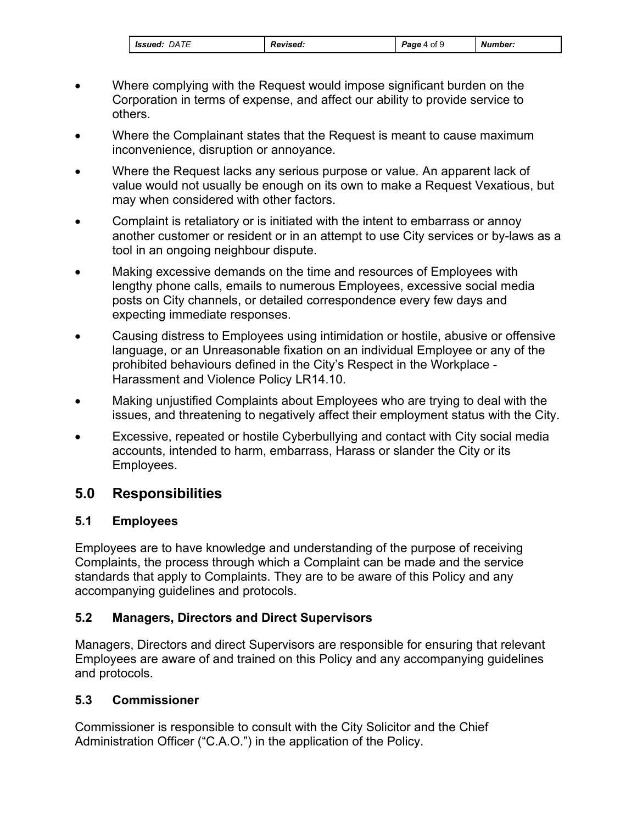| DATE<br>Issued: | <b>Revised:</b> | <b>Page</b> 4 of 9 | Number: |
|-----------------|-----------------|--------------------|---------|
|-----------------|-----------------|--------------------|---------|

- Where complying with the Request would impose significant burden on the Corporation in terms of expense, and affect our ability to provide service to others.
- Where the Complainant states that the Request is meant to cause maximum inconvenience, disruption or annoyance.
- Where the Request lacks any serious purpose or value. An apparent lack of value would not usually be enough on its own to make a Request Vexatious, but may when considered with other factors.
- Complaint is retaliatory or is initiated with the intent to embarrass or annoy another customer or resident or in an attempt to use City services or by-laws as a tool in an ongoing neighbour dispute.
- Making excessive demands on the time and resources of Employees with lengthy phone calls, emails to numerous Employees, excessive social media posts on City channels, or detailed correspondence every few days and expecting immediate responses.
- Causing distress to Employees using intimidation or hostile, abusive or offensive language, or an Unreasonable fixation on an individual Employee or any of the prohibited behaviours defined in the City's Respect in the Workplace - Harassment and Violence Policy LR14.10.
- Making unjustified Complaints about Employees who are trying to deal with the issues, and threatening to negatively affect their employment status with the City.
- Excessive, repeated or hostile Cyberbullying and contact with City social media accounts, intended to harm, embarrass, Harass or slander the City or its Employees.

## **5.0 Responsibilities**

### **5.1 Employees**

Employees are to have knowledge and understanding of the purpose of receiving Complaints, the process through which a Complaint can be made and the service standards that apply to Complaints. They are to be aware of this Policy and any accompanying guidelines and protocols.

### **5.2 Managers, Directors and Direct Supervisors**

Managers, Directors and direct Supervisors are responsible for ensuring that relevant Employees are aware of and trained on this Policy and any accompanying guidelines and protocols.

### **5.3 Commissioner**

Commissioner is responsible to consult with the City Solicitor and the Chief Administration Officer ("C.A.O.") in the application of the Policy.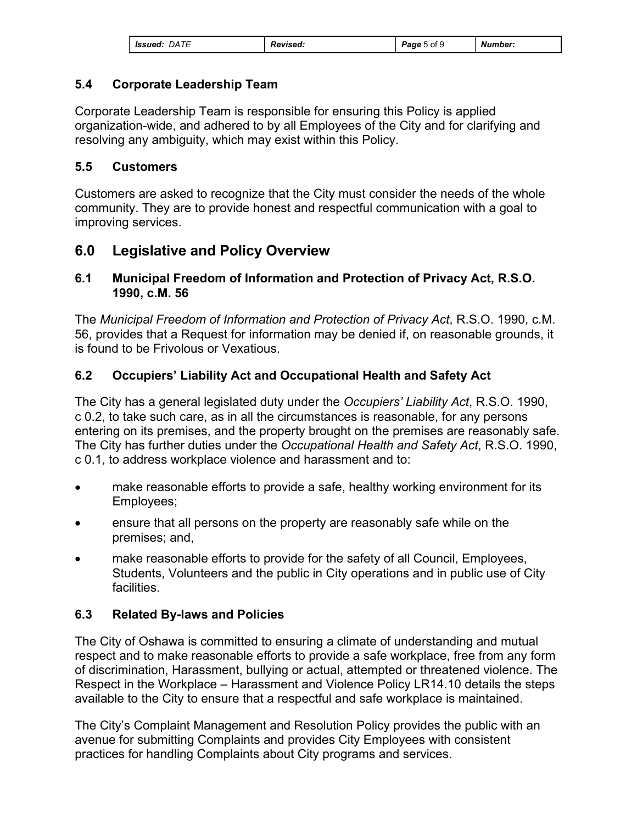| <b>Issued: DATE</b> | <b>Revised:</b> | Page 5 of 9 | Number: |
|---------------------|-----------------|-------------|---------|
|---------------------|-----------------|-------------|---------|

#### **5.4 Corporate Leadership Team**

Corporate Leadership Team is responsible for ensuring this Policy is applied organization-wide, and adhered to by all Employees of the City and for clarifying and resolving any ambiguity, which may exist within this Policy.

#### **5.5 Customers**

Customers are asked to recognize that the City must consider the needs of the whole community. They are to provide honest and respectful communication with a goal to improving services.

### **6.0 Legislative and Policy Overview**

#### **6.1 Municipal Freedom of Information and Protection of Privacy Act, R.S.O. 1990, c.M. 56**

The *Municipal Freedom of Information and Protection of Privacy Act*, R.S.O. 1990, c.M. 56, provides that a Request for information may be denied if, on reasonable grounds, it is found to be Frivolous or Vexatious.

#### **6.2 Occupiers' Liability Act and Occupational Health and Safety Act**

The City has a general legislated duty under the *Occupiers' Liability Act*, R.S.O. 1990, c 0.2, to take such care, as in all the circumstances is reasonable, for any persons entering on its premises, and the property brought on the premises are reasonably safe. The City has further duties under the *Occupational Health and Safety Act*, R.S.O. 1990, c 0.1, to address workplace violence and harassment and to:

- make reasonable efforts to provide a safe, healthy working environment for its Employees;
- ensure that all persons on the property are reasonably safe while on the premises; and,
- make reasonable efforts to provide for the safety of all Council, Employees, Students, Volunteers and the public in City operations and in public use of City facilities.

#### **6.3 Related By-laws and Policies**

The City of Oshawa is committed to ensuring a climate of understanding and mutual respect and to make reasonable efforts to provide a safe workplace, free from any form of discrimination, Harassment, bullying or actual, attempted or threatened violence. The Respect in the Workplace – Harassment and Violence Policy LR14.10 details the steps available to the City to ensure that a respectful and safe workplace is maintained.

The City's Complaint Management and Resolution Policy provides the public with an avenue for submitting Complaints and provides City Employees with consistent practices for handling Complaints about City programs and services.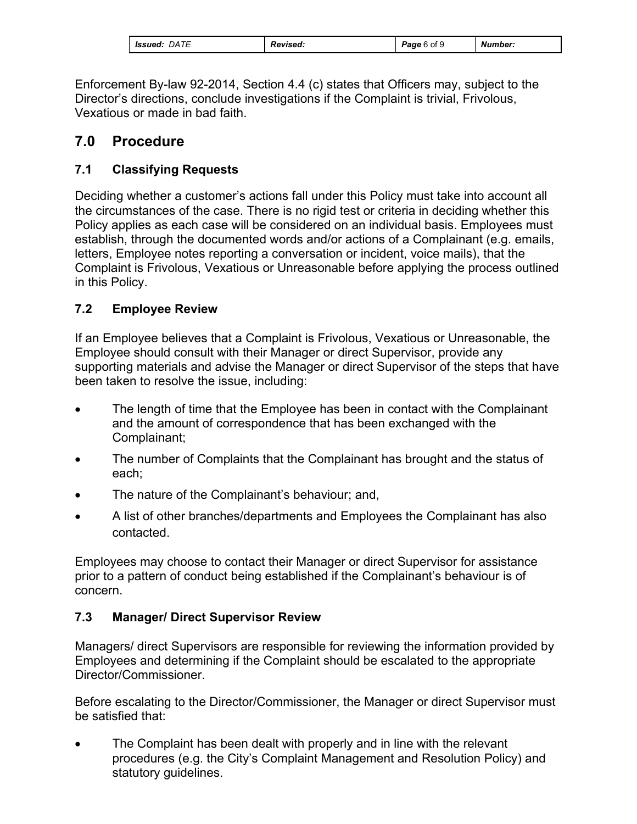| DATE<br>Issued: | <b>Revised:</b> | <b>Page</b> 6 of 9 | <b>Number:</b> |
|-----------------|-----------------|--------------------|----------------|
|-----------------|-----------------|--------------------|----------------|

Enforcement By-law 92-2014, Section 4.4 (c) states that Officers may, subject to the Director's directions, conclude investigations if the Complaint is trivial, Frivolous, Vexatious or made in bad faith.

## **7.0 Procedure**

### **7.1 Classifying Requests**

Deciding whether a customer's actions fall under this Policy must take into account all the circumstances of the case. There is no rigid test or criteria in deciding whether this Policy applies as each case will be considered on an individual basis. Employees must establish, through the documented words and/or actions of a Complainant (e.g. emails, letters, Employee notes reporting a conversation or incident, voice mails), that the Complaint is Frivolous, Vexatious or Unreasonable before applying the process outlined in this Policy.

### **7.2 Employee Review**

If an Employee believes that a Complaint is Frivolous, Vexatious or Unreasonable, the Employee should consult with their Manager or direct Supervisor, provide any supporting materials and advise the Manager or direct Supervisor of the steps that have been taken to resolve the issue, including:

- The length of time that the Employee has been in contact with the Complainant and the amount of correspondence that has been exchanged with the Complainant;
- The number of Complaints that the Complainant has brought and the status of each;
- The nature of the Complainant's behaviour; and,
- A list of other branches/departments and Employees the Complainant has also contacted.

Employees may choose to contact their Manager or direct Supervisor for assistance prior to a pattern of conduct being established if the Complainant's behaviour is of concern.

### **7.3 Manager/ Direct Supervisor Review**

Managers/ direct Supervisors are responsible for reviewing the information provided by Employees and determining if the Complaint should be escalated to the appropriate Director/Commissioner.

Before escalating to the Director/Commissioner, the Manager or direct Supervisor must be satisfied that:

The Complaint has been dealt with properly and in line with the relevant procedures (e.g. the City's Complaint Management and Resolution Policy) and statutory guidelines.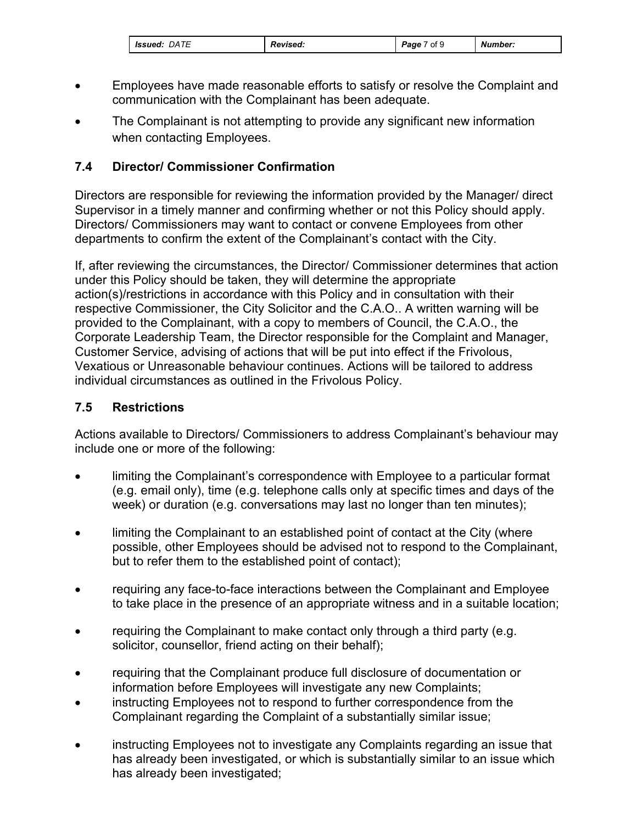| <b>Issued: DATE</b> | <b>Revised:</b> | Page 7 of 9 | Number: |
|---------------------|-----------------|-------------|---------|
|---------------------|-----------------|-------------|---------|

- Employees have made reasonable efforts to satisfy or resolve the Complaint and communication with the Complainant has been adequate.
- The Complainant is not attempting to provide any significant new information when contacting Employees.

#### **7.4 Director/ Commissioner Confirmation**

Directors are responsible for reviewing the information provided by the Manager/ direct Supervisor in a timely manner and confirming whether or not this Policy should apply. Directors/ Commissioners may want to contact or convene Employees from other departments to confirm the extent of the Complainant's contact with the City.

If, after reviewing the circumstances, the Director/ Commissioner determines that action under this Policy should be taken, they will determine the appropriate action(s)/restrictions in accordance with this Policy and in consultation with their respective Commissioner, the City Solicitor and the C.A.O.. A written warning will be provided to the Complainant, with a copy to members of Council, the C.A.O., the Corporate Leadership Team, the Director responsible for the Complaint and Manager, Customer Service, advising of actions that will be put into effect if the Frivolous, Vexatious or Unreasonable behaviour continues. Actions will be tailored to address individual circumstances as outlined in the Frivolous Policy.

### **7.5 Restrictions**

Actions available to Directors/ Commissioners to address Complainant's behaviour may include one or more of the following:

- limiting the Complainant's correspondence with Employee to a particular format (e.g. email only), time (e.g. telephone calls only at specific times and days of the week) or duration (e.g. conversations may last no longer than ten minutes);
- limiting the Complainant to an established point of contact at the City (where possible, other Employees should be advised not to respond to the Complainant, but to refer them to the established point of contact);
- requiring any face-to-face interactions between the Complainant and Employee to take place in the presence of an appropriate witness and in a suitable location;
- requiring the Complainant to make contact only through a third party (e.g. solicitor, counsellor, friend acting on their behalf);
- requiring that the Complainant produce full disclosure of documentation or information before Employees will investigate any new Complaints;
- instructing Employees not to respond to further correspondence from the Complainant regarding the Complaint of a substantially similar issue;
- instructing Employees not to investigate any Complaints regarding an issue that has already been investigated, or which is substantially similar to an issue which has already been investigated;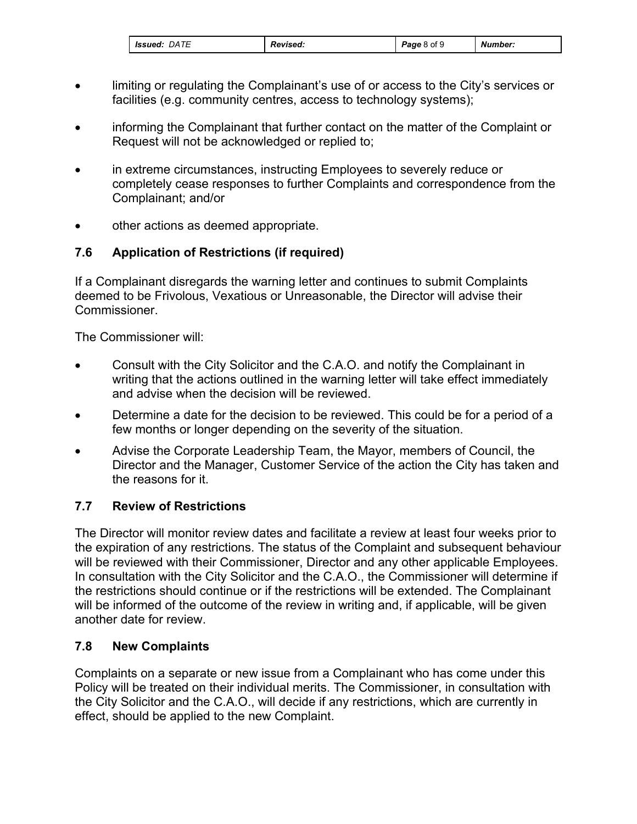|  | <b>Issued: DATE</b> | <b>Revised:</b> | <b>Page</b> 8 of 9 | Number: |
|--|---------------------|-----------------|--------------------|---------|
|--|---------------------|-----------------|--------------------|---------|

- limiting or regulating the Complainant's use of or access to the City's services or facilities (e.g. community centres, access to technology systems);
- informing the Complainant that further contact on the matter of the Complaint or Request will not be acknowledged or replied to;
- in extreme circumstances, instructing Employees to severely reduce or completely cease responses to further Complaints and correspondence from the Complainant; and/or
- other actions as deemed appropriate.

### **7.6 Application of Restrictions (if required)**

If a Complainant disregards the warning letter and continues to submit Complaints deemed to be Frivolous, Vexatious or Unreasonable, the Director will advise their **Commissioner** 

The Commissioner will:

- Consult with the City Solicitor and the C.A.O. and notify the Complainant in writing that the actions outlined in the warning letter will take effect immediately and advise when the decision will be reviewed.
- Determine a date for the decision to be reviewed. This could be for a period of a few months or longer depending on the severity of the situation.
- Advise the Corporate Leadership Team, the Mayor, members of Council, the Director and the Manager, Customer Service of the action the City has taken and the reasons for it.

### **7.7 Review of Restrictions**

The Director will monitor review dates and facilitate a review at least four weeks prior to the expiration of any restrictions. The status of the Complaint and subsequent behaviour will be reviewed with their Commissioner, Director and any other applicable Employees. In consultation with the City Solicitor and the C.A.O., the Commissioner will determine if the restrictions should continue or if the restrictions will be extended. The Complainant will be informed of the outcome of the review in writing and, if applicable, will be given another date for review.

### **7.8 New Complaints**

Complaints on a separate or new issue from a Complainant who has come under this Policy will be treated on their individual merits. The Commissioner, in consultation with the City Solicitor and the C.A.O., will decide if any restrictions, which are currently in effect, should be applied to the new Complaint.